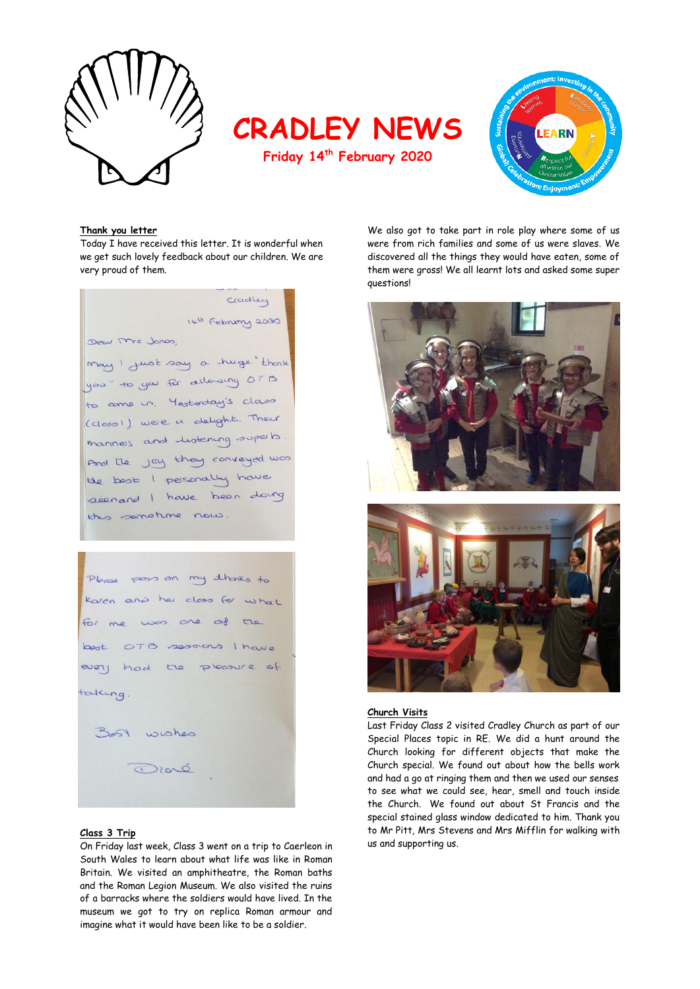

**CRADLEY NEWS**

**Friday 14th February 2020**



#### **Thank you letter**

Today I have received this letter. It is wonderful when we get such lovely feedback about our children. We are very proud of them.

Cradley 14h February 2000 Dear Mrs Jones, may I just say a huge "thenk you" to you for allowing OTB to come un. Mestoday's class (closo)) were a delight. Their mannes and lustening superio And the joy they conveyed was the boot I personally have seenand I have been doing this sometime now

| Please poss on my thanks to |
|-----------------------------|
| Karen and he class for what |
| for me was one of the       |
| best OTB sessions I have    |
| every had the phoenic of    |
| taking.                     |
| Bost wishes.                |
| Dioré                       |
|                             |

## **Class 3 Trip**

On Friday last week, Class 3 went on a trip to Caerleon in South Wales to learn about what life was like in Roman Britain. We visited an amphitheatre, the Roman baths and the Roman Legion Museum. We also visited the ruins of a barracks where the soldiers would have lived. In the museum we got to try on replica Roman armour and imagine what it would have been like to be a soldier.

We also got to take part in role play where some of us were from rich families and some of us were slaves. We discovered all the things they would have eaten, some of them were gross! We all learnt lots and asked some super questions!





#### **Church Visits**

Last Friday Class 2 visited Cradley Church as part of our Special Places topic in RE. We did a hunt around the Church looking for different objects that make the Church special. We found out about how the bells work and had a go at ringing them and then we used our senses to see what we could see, hear, smell and touch inside the Church. We found out about St Francis and the special stained glass window dedicated to him. Thank you to Mr Pitt, Mrs Stevens and Mrs Mifflin for walking with us and supporting us.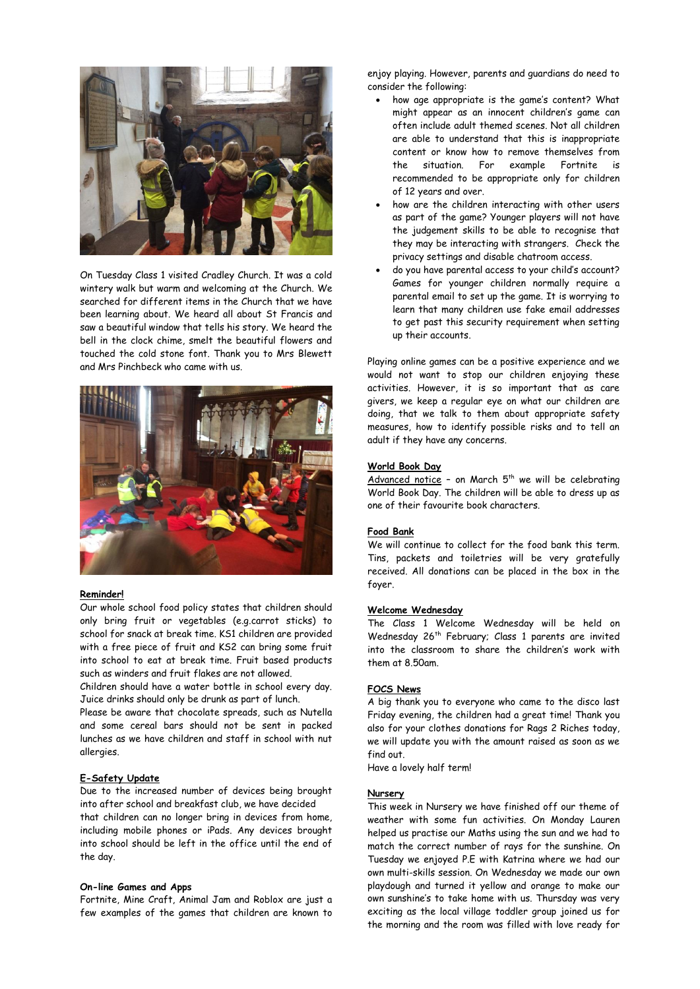

On Tuesday Class 1 visited Cradley Church. It was a cold wintery walk but warm and welcoming at the Church. We searched for different items in the Church that we have been learning about. We heard all about St Francis and saw a beautiful window that tells his story. We heard the bell in the clock chime, smelt the beautiful flowers and touched the cold stone font. Thank you to Mrs Blewett and Mrs Pinchbeck who came with us.



## **Reminder!**

Our whole school food policy states that children should only bring fruit or vegetables (e.g.carrot sticks) to school for snack at break time. KS1 children are provided with a free piece of fruit and KS2 can bring some fruit into school to eat at break time. Fruit based products such as winders and fruit flakes are not allowed.

Children should have a water bottle in school every day. Juice drinks should only be drunk as part of lunch.

Please be aware that chocolate spreads, such as Nutella and some cereal bars should not be sent in packed lunches as we have children and staff in school with nut allergies.

# **E-Safety Update**

Due to the increased number of devices being brought into after school and breakfast club, we have decided that children can no longer bring in devices from home, including mobile phones or iPads. Any devices brought into school should be left in the office until the end of the day.

#### **On-line Games and Apps**

Fortnite, Mine Craft, Animal Jam and Roblox are just a few examples of the games that children are known to enjoy playing. However, parents and guardians do need to consider the following:

- how age appropriate is the game's content? What might appear as an innocent children's game can often include adult themed scenes. Not all children are able to understand that this is inappropriate content or know how to remove themselves from the situation. For example Fortnite is recommended to be appropriate only for children of 12 years and over.
- how are the children interacting with other users as part of the game? Younger players will not have the judgement skills to be able to recognise that they may be interacting with strangers. Check the privacy settings and disable chatroom access.
- do you have parental access to your child's account? Games for younger children normally require a parental email to set up the game. It is worrying to learn that many children use fake email addresses to get past this security requirement when setting up their accounts.

Playing online games can be a positive experience and we would not want to stop our children enjoying these activities. However, it is so important that as care givers, we keep a regular eye on what our children are doing, that we talk to them about appropriate safety measures, how to identify possible risks and to tell an adult if they have any concerns.

#### **World Book Day**

Advanced notice - on March  $5<sup>th</sup>$  we will be celebrating World Book Day. The children will be able to dress up as one of their favourite book characters.

## **Food Bank**

We will continue to collect for the food bank this term. Tins, packets and toiletries will be very gratefully received. All donations can be placed in the box in the foyer.

## **Welcome Wednesday**

The Class 1 Welcome Wednesday will be held on Wednesday 26th February; Class 1 parents are invited into the classroom to share the children's work with them at 8.50am.

## **FOCS News**

A big thank you to everyone who came to the disco last Friday evening, the children had a great time! Thank you also for your clothes donations for Rags 2 Riches today, we will update you with the amount raised as soon as we find out.

Have a lovely half term!

## **Nursery**

This week in Nursery we have finished off our theme of weather with some fun activities. On Monday Lauren helped us practise our Maths using the sun and we had to match the correct number of rays for the sunshine. On Tuesday we enjoyed P.E with Katrina where we had our own multi-skills session. On Wednesday we made our own playdough and turned it yellow and orange to make our own sunshine's to take home with us. Thursday was very exciting as the local village toddler group joined us for the morning and the room was filled with love ready for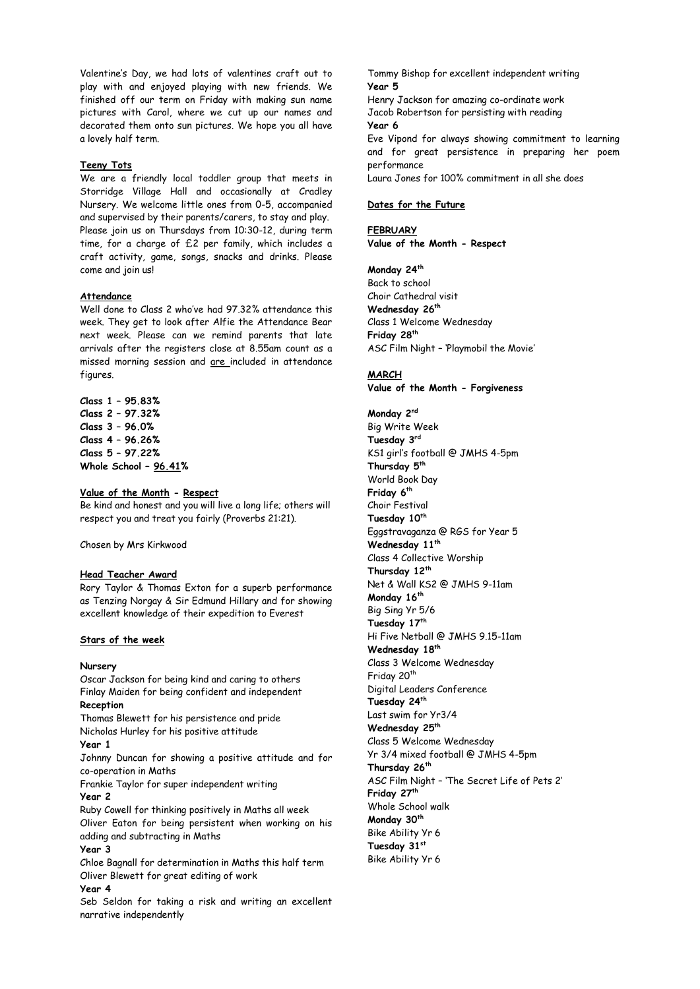Valentine's Day, we had lots of valentines craft out to play with and enjoyed playing with new friends. We finished off our term on Friday with making sun name pictures with Carol, where we cut up our names and decorated them onto sun pictures. We hope you all have a lovely half term.

## **Teeny Tots**

We are a friendly local toddler group that meets in Storridge Village Hall and occasionally at Cradley Nursery. We welcome little ones from 0-5, accompanied and supervised by their parents/carers, to stay and play. Please join us on Thursdays from 10:30-12, during term time, for a charge of £2 per family, which includes a craft activity, game, songs, snacks and drinks. Please come and join us!

### **Attendance**

Well done to Class 2 who've had 97.32% attendance this week. They get to look after Alfie the Attendance Bear next week. Please can we remind parents that late arrivals after the registers close at 8.55am count as a missed morning session and are included in attendance figures.

**Class 1 – 95.83% Class 2 – 97.32% Class 3 – 96.0% Class 4 – 96.26% Class 5 – 97.22% Whole School – 96.41%**

# **Value of the Month - Respect**

Be kind and honest and you will live a long life; others will respect you and treat you fairly (Proverbs 21:21).

Chosen by Mrs Kirkwood

#### **Head Teacher Award**

Rory Taylor & Thomas Exton for a superb performance as Tenzing Norgay & Sir Edmund Hillary and for showing excellent knowledge of their expedition to Everest

## **Stars of the week**

#### **Nursery**

Oscar Jackson for being kind and caring to others Finlay Maiden for being confident and independent **Reception**

Thomas Blewett for his persistence and pride Nicholas Hurley for his positive attitude

# **Year 1**

Johnny Duncan for showing a positive attitude and for co-operation in Maths

Frankie Taylor for super independent writing **Year 2** 

Ruby Cowell for thinking positively in Maths all week Oliver Eaton for being persistent when working on his adding and subtracting in Maths

# **Year 3**

Chloe Bagnall for determination in Maths this half term Oliver Blewett for great editing of work

## **Year 4**

Seb Seldon for taking a risk and writing an excellent narrative independently

Tommy Bishop for excellent independent writing **Year 5** Henry Jackson for amazing co-ordinate work Jacob Robertson for persisting with reading **Year 6** Eve Vipond for always showing commitment to learning and for great persistence in preparing her poem performance Laura Jones for 100% commitment in all she does

## **Dates for the Future**

**FEBRUARY Value of the Month - Respect**

## **Monday 24th**

Back to school Choir Cathedral visit **Wednesday 26th** Class 1 Welcome Wednesday **Friday 28th** ASC Film Night – 'Playmobil the Movie'

#### **MARCH**

**Value of the Month - Forgiveness**

**Monday 2nd** Big Write Week **Tuesday 3rd** KS1 girl's football @ JMHS 4-5pm **Thursday 5th** World Book Day **Friday 6 th** Choir Festival **Tuesday 10th** Eggstravaganza @ RGS for Year 5 **Wednesday 11th** Class 4 Collective Worship **Thursday 12th** Net & Wall KS2 @ JMHS 9-11am **Monday 16th** Big Sing Yr 5/6 **Tuesday 17th** Hi Five Netball @ JMHS 9.15-11am **Wednesday 18th** Class 3 Welcome Wednesday Friday 20<sup>th</sup> Digital Leaders Conference **Tuesday 24th** Last swim for Yr3/4 **Wednesday 25th** Class 5 Welcome Wednesday Yr 3/4 mixed football @ JMHS 4-5pm **Thursday 26th** ASC Film Night – 'The Secret Life of Pets 2' **Friday 27th** Whole School walk **Monday 30th** Bike Ability Yr 6 **Tuesday 31st** Bike Ability Yr 6